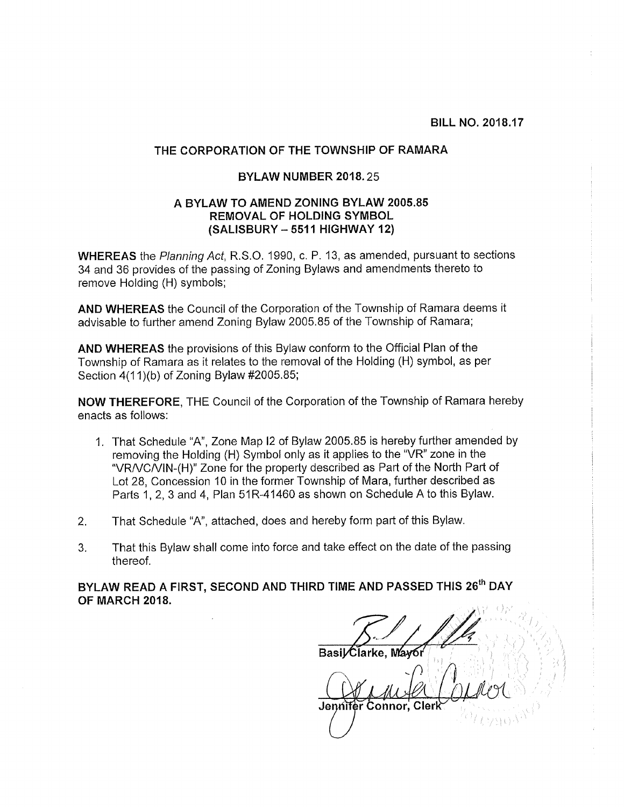BILL NO. 2018.17

## THE CORPORATION OF THE TOWNSHIP OF RAMARA

## BYLAW NUMBER 2018.25

## A BYLAW TO AMEND ZONING BYLAW 2005.85 REMOVAL OF HOLDING SYMBOL (SALISBURY -<sup>5511</sup> HIGHWAY 12)

WHEREAS the Planning Act, R.S,O. 1990, c. P. 13, as amended, pursuant to sections 34 and 36 provides of the passing of Zoning Bylaws and amendments thereto to remove Holding (H) symbols;

AND WHEREAS the Council of the Corporation of the Township of Ramara deems it advisable to further amend Zoning Bylaw 2005.85 of the Township of Ramara;

AND WHEREAS the provisions of this Bylaw conform to the Official Plan of the Township of Ramara as it relates to the removal of the Holding (H) symbol, as per Section 4(11 )(b) of Zoning Bylaw #2005.85;

NOW THEREFORE, THE Council of the Corporation of the Township of Ramara hereby enacts as follows:

- 1. That Schedule "A", Zone Map I2 of Bylaw 2005.85 is hereby further amended by removing the Holding (H) Symbol only as it applies to the "VR" zone in the "VRNCIVIN-(H)" Zone for the property described as Part of the North Part of Lot 28, Concession 10 in the former Township of Mara, further described as Parts 1, 2, 3 and 4, Plan 51R-41460 as shown on Schedule A to this Bylaw.
- 2. That Schedule "A", attached, does and hereby form part of this Bylaw.
- 3. That this Bylaw shall come into force and take effect on the date of the passing thereof.

BYLAW READ A FIRST, SECOND AND THIRD TIME AND PASSED THIS 26<sup>th</sup> DAY OF MARCH 2018.

TIME AND PASSED THIS 26<sup>th</sup> DAY<br>asil Clarke, Mayor<br>piniter Connor, Clerk Jennifer Connor, Cler